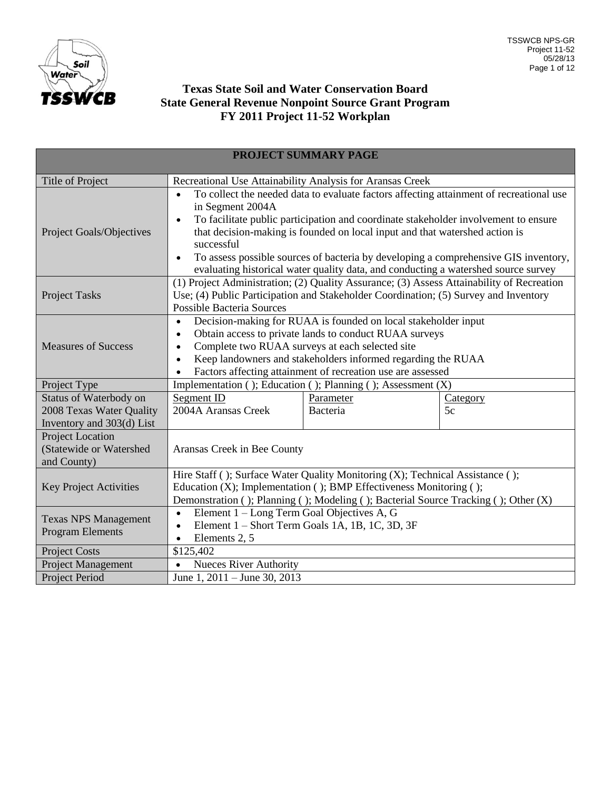

## **Texas State Soil and Water Conservation Board State General Revenue Nonpoint Source Grant Program FY 2011 Project 11-52 Workplan**

| PROJECT SUMMARY PAGE                                                            |                                                                                                                                                                                                                                                                                                                                                                                                                                                                                                        |                                                              |                       |  |  |
|---------------------------------------------------------------------------------|--------------------------------------------------------------------------------------------------------------------------------------------------------------------------------------------------------------------------------------------------------------------------------------------------------------------------------------------------------------------------------------------------------------------------------------------------------------------------------------------------------|--------------------------------------------------------------|-----------------------|--|--|
| <b>Title of Project</b>                                                         | Recreational Use Attainability Analysis for Aransas Creek                                                                                                                                                                                                                                                                                                                                                                                                                                              |                                                              |                       |  |  |
| Project Goals/Objectives                                                        | To collect the needed data to evaluate factors affecting attainment of recreational use<br>in Segment 2004A<br>To facilitate public participation and coordinate stakeholder involvement to ensure<br>$\bullet$<br>that decision-making is founded on local input and that watershed action is<br>successful<br>To assess possible sources of bacteria by developing a comprehensive GIS inventory,<br>$\bullet$<br>evaluating historical water quality data, and conducting a watershed source survey |                                                              |                       |  |  |
| <b>Project Tasks</b>                                                            | (1) Project Administration; (2) Quality Assurance; (3) Assess Attainability of Recreation<br>Use; (4) Public Participation and Stakeholder Coordination; (5) Survey and Inventory<br><b>Possible Bacteria Sources</b>                                                                                                                                                                                                                                                                                  |                                                              |                       |  |  |
| <b>Measures of Success</b>                                                      | Decision-making for RUAA is founded on local stakeholder input<br>$\bullet$<br>Obtain access to private lands to conduct RUAA surveys<br>$\bullet$<br>Complete two RUAA surveys at each selected site<br>$\bullet$<br>Keep landowners and stakeholders informed regarding the RUAA<br>$\bullet$<br>Factors affecting attainment of recreation use are assessed                                                                                                                                         |                                                              |                       |  |  |
| Project Type                                                                    |                                                                                                                                                                                                                                                                                                                                                                                                                                                                                                        | Implementation (); Education (); Planning (); Assessment (X) |                       |  |  |
| Status of Waterbody on<br>2008 Texas Water Quality<br>Inventory and 303(d) List | Segment ID<br>2004A Aransas Creek                                                                                                                                                                                                                                                                                                                                                                                                                                                                      | Parameter<br>Bacteria                                        | <b>Category</b><br>5c |  |  |
| <b>Project Location</b><br>(Statewide or Watershed<br>and County)               | Aransas Creek in Bee County                                                                                                                                                                                                                                                                                                                                                                                                                                                                            |                                                              |                       |  |  |
| <b>Key Project Activities</b>                                                   | Hire Staff (); Surface Water Quality Monitoring (X); Technical Assistance ();<br>Education (X); Implementation (); BMP Effectiveness Monitoring ();<br>Demonstration (); Planning (); Modeling (); Bacterial Source Tracking (); Other (X)                                                                                                                                                                                                                                                             |                                                              |                       |  |  |
| <b>Texas NPS Management</b><br><b>Program Elements</b>                          | Element 1 - Long Term Goal Objectives A, G<br>$\bullet$<br>Element 1 - Short Term Goals 1A, 1B, 1C, 3D, 3F<br>$\bullet$<br>Elements 2, 5                                                                                                                                                                                                                                                                                                                                                               |                                                              |                       |  |  |
| <b>Project Costs</b>                                                            | \$125,402                                                                                                                                                                                                                                                                                                                                                                                                                                                                                              |                                                              |                       |  |  |
| Project Management                                                              | <b>Nueces River Authority</b><br>$\bullet$                                                                                                                                                                                                                                                                                                                                                                                                                                                             |                                                              |                       |  |  |
| Project Period                                                                  | June 1, 2011 – June 30, 2013                                                                                                                                                                                                                                                                                                                                                                                                                                                                           |                                                              |                       |  |  |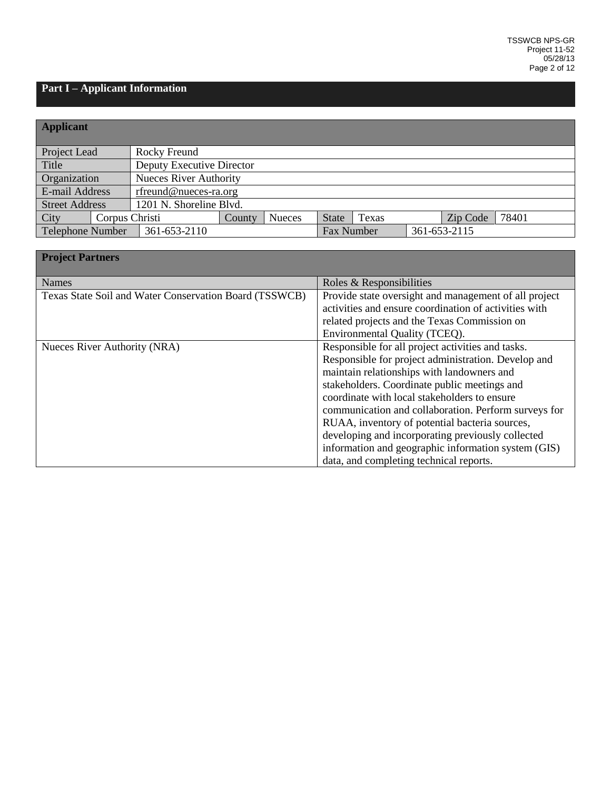# **Part I – Applicant Information**

| <b>Applicant</b>      |                |                               |        |               |                   |       |              |       |
|-----------------------|----------------|-------------------------------|--------|---------------|-------------------|-------|--------------|-------|
| Project Lead          |                | Rocky Freund                  |        |               |                   |       |              |       |
| Title                 |                | Deputy Executive Director     |        |               |                   |       |              |       |
| Organization          |                | <b>Nueces River Authority</b> |        |               |                   |       |              |       |
| E-mail Address        |                | rfreund@nueces-ra.org         |        |               |                   |       |              |       |
| <b>Street Address</b> |                | 1201 N. Shoreline Blvd.       |        |               |                   |       |              |       |
| <b>City</b>           | Corpus Christi |                               | County | <b>Nueces</b> | <b>State</b>      | Texas | Zip Code     | 78401 |
| Telephone Number      |                | 361-653-2110                  |        |               | <b>Fax Number</b> |       | 361-653-2115 |       |

| <b>Project Partners</b>                                |                                                       |
|--------------------------------------------------------|-------------------------------------------------------|
| <b>Names</b>                                           | Roles & Responsibilities                              |
| Texas State Soil and Water Conservation Board (TSSWCB) | Provide state oversight and management of all project |
|                                                        | activities and ensure coordination of activities with |
|                                                        | related projects and the Texas Commission on          |
|                                                        | Environmental Quality (TCEQ).                         |
| Nueces River Authority (NRA)                           | Responsible for all project activities and tasks.     |
|                                                        | Responsible for project administration. Develop and   |
|                                                        | maintain relationships with landowners and            |
|                                                        | stakeholders. Coordinate public meetings and          |
|                                                        | coordinate with local stakeholders to ensure          |
|                                                        | communication and collaboration. Perform surveys for  |
|                                                        | RUAA, inventory of potential bacteria sources,        |
|                                                        | developing and incorporating previously collected     |
|                                                        | information and geographic information system (GIS)   |
|                                                        | data, and completing technical reports.               |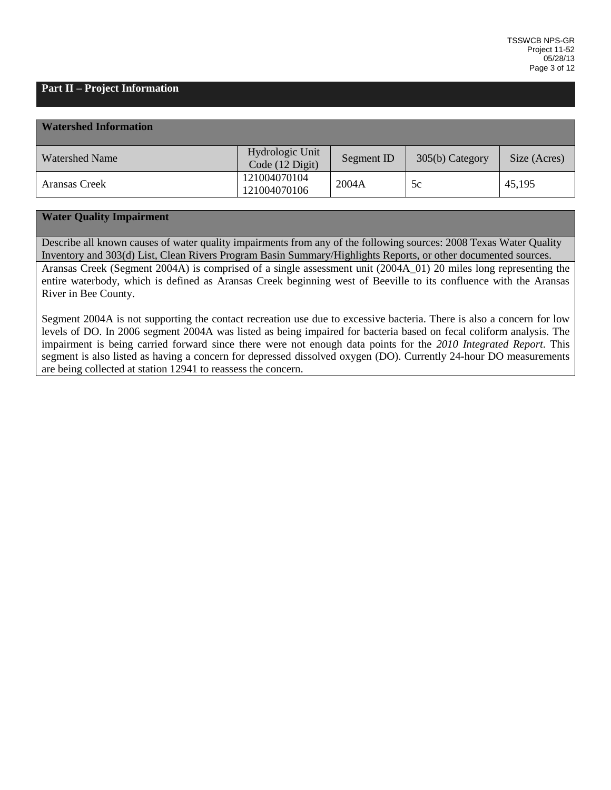## **Part II – Project Information**

| <b>Watershed Information</b> |                                    |            |                 |              |
|------------------------------|------------------------------------|------------|-----------------|--------------|
| <b>Watershed Name</b>        | Hydrologic Unit<br>Code (12 Digit) | Segment ID | 305(b) Category | Size (Acres) |
| Aransas Creek                | 121004070104<br>121004070106       | 2004A      | 5c              | 45,195       |

## **Water Quality Impairment**

Describe all known causes of water quality impairments from any of the following sources: 2008 Texas Water Quality Inventory and 303(d) List, Clean Rivers Program Basin Summary/Highlights Reports, or other documented sources. Aransas Creek (Segment 2004A) is comprised of a single assessment unit (2004A\_01) 20 miles long representing the entire waterbody, which is defined as Aransas Creek beginning west of Beeville to its confluence with the Aransas River in Bee County.

Segment 2004A is not supporting the contact recreation use due to excessive bacteria. There is also a concern for low levels of DO. In 2006 segment 2004A was listed as being impaired for bacteria based on fecal coliform analysis. The impairment is being carried forward since there were not enough data points for the *2010 Integrated Report*. This segment is also listed as having a concern for depressed dissolved oxygen (DO). Currently 24-hour DO measurements are being collected at station 12941 to reassess the concern.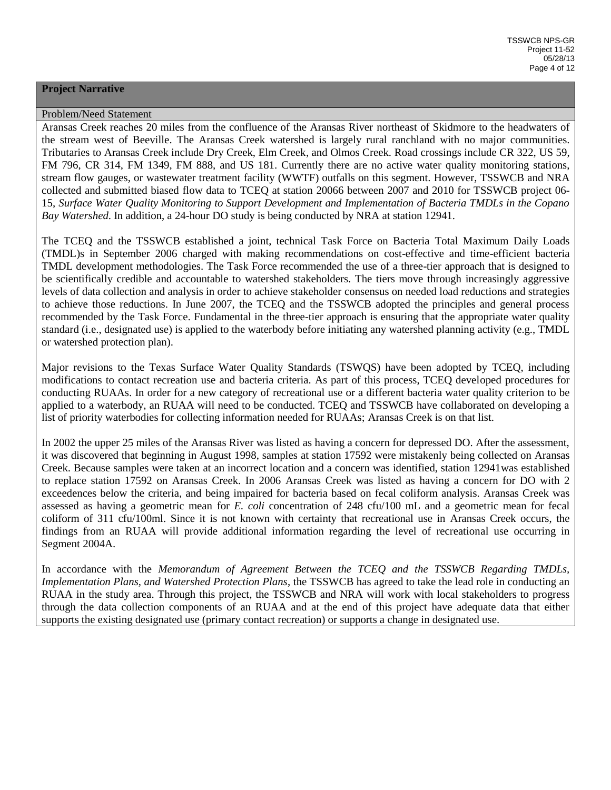#### **Project Narrative**

#### Problem/Need Statement

Aransas Creek reaches 20 miles from the confluence of the Aransas River northeast of Skidmore to the headwaters of the stream west of Beeville. The Aransas Creek watershed is largely rural ranchland with no major communities. Tributaries to Aransas Creek include Dry Creek, Elm Creek, and Olmos Creek. Road crossings include CR 322, US 59, FM 796, CR 314, FM 1349, FM 888, and US 181. Currently there are no active water quality monitoring stations, stream flow gauges, or wastewater treatment facility (WWTF) outfalls on this segment. However, TSSWCB and NRA collected and submitted biased flow data to TCEQ at station 20066 between 2007 and 2010 for TSSWCB project 06- 15, *Surface Water Quality Monitoring to Support Development and Implementation of Bacteria TMDLs in the Copano Bay Watershed*. In addition, a 24-hour DO study is being conducted by NRA at station 12941.

The TCEQ and the TSSWCB established a joint, technical Task Force on Bacteria Total Maximum Daily Loads (TMDL)s in September 2006 charged with making recommendations on cost-effective and time-efficient bacteria TMDL development methodologies. The Task Force recommended the use of a three-tier approach that is designed to be scientifically credible and accountable to watershed stakeholders. The tiers move through increasingly aggressive levels of data collection and analysis in order to achieve stakeholder consensus on needed load reductions and strategies to achieve those reductions. In June 2007, the TCEQ and the TSSWCB adopted the principles and general process recommended by the Task Force. Fundamental in the three-tier approach is ensuring that the appropriate water quality standard (i.e., designated use) is applied to the waterbody before initiating any watershed planning activity (e.g., TMDL or watershed protection plan).

Major revisions to the Texas Surface Water Quality Standards (TSWQS) have been adopted by TCEQ, including modifications to contact recreation use and bacteria criteria. As part of this process, TCEQ developed procedures for conducting RUAAs. In order for a new category of recreational use or a different bacteria water quality criterion to be applied to a waterbody, an RUAA will need to be conducted. TCEQ and TSSWCB have collaborated on developing a list of priority waterbodies for collecting information needed for RUAAs; Aransas Creek is on that list.

In 2002 the upper 25 miles of the Aransas River was listed as having a concern for depressed DO. After the assessment, it was discovered that beginning in August 1998, samples at station 17592 were mistakenly being collected on Aransas Creek. Because samples were taken at an incorrect location and a concern was identified, station 12941was established to replace station 17592 on Aransas Creek. In 2006 Aransas Creek was listed as having a concern for DO with 2 exceedences below the criteria, and being impaired for bacteria based on fecal coliform analysis. Aransas Creek was assessed as having a geometric mean for *E. coli* concentration of 248 cfu/100 mL and a geometric mean for fecal coliform of 311 cfu/100ml. Since it is not known with certainty that recreational use in Aransas Creek occurs, the findings from an RUAA will provide additional information regarding the level of recreational use occurring in Segment 2004A.

In accordance with the *Memorandum of Agreement Between the TCEQ and the TSSWCB Regarding TMDLs, Implementation Plans, and Watershed Protection Plans*, the TSSWCB has agreed to take the lead role in conducting an RUAA in the study area. Through this project, the TSSWCB and NRA will work with local stakeholders to progress through the data collection components of an RUAA and at the end of this project have adequate data that either supports the existing designated use (primary contact recreation) or supports a change in designated use.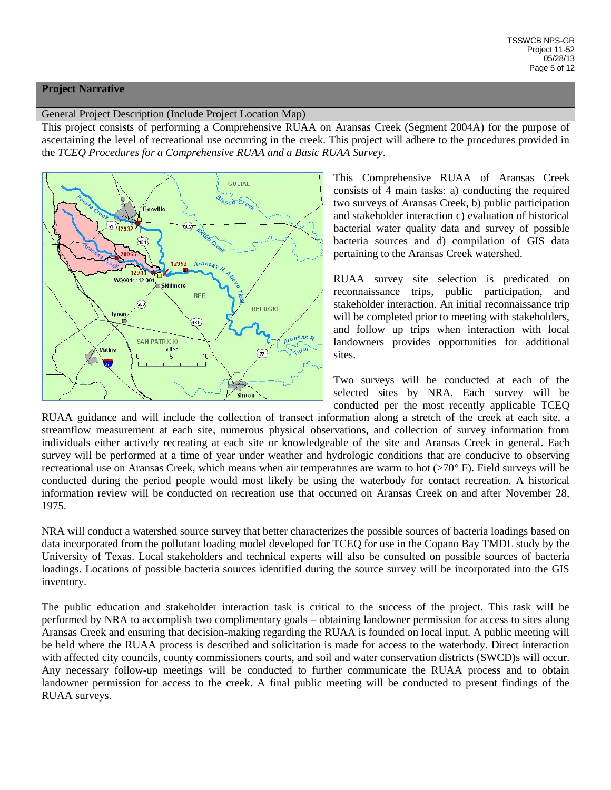#### **Project Narrative**

#### General Project Description (Include Project Location Map)

This project consists of performing a Comprehensive RUAA on Aransas Creek (Segment 2004A) for the purpose of ascertaining the level of recreational use occurring in the creek. This project will adhere to the procedures provided in the *TCEQ Procedures for a Comprehensive RUAA and a Basic RUAA Survey*.



This Comprehensive RUAA of Aransas Creek consists of 4 main tasks: a) conducting the required two surveys of Aransas Creek, b) public participation and stakeholder interaction c) evaluation of historical bacterial water quality data and survey of possible bacteria sources and d) compilation of GIS data pertaining to the Aransas Creek watershed.

RUAA survey site selection is predicated on reconnaissance trips, public participation, and stakeholder interaction. An initial reconnaissance trip will be completed prior to meeting with stakeholders, and follow up trips when interaction with local landowners provides opportunities for additional sites.

Two surveys will be conducted at each of the selected sites by NRA. Each survey will be conducted per the most recently applicable TCEQ

RUAA guidance and will include the collection of transect information along a stretch of the creek at each site, a streamflow measurement at each site, numerous physical observations, and collection of survey information from individuals either actively recreating at each site or knowledgeable of the site and Aransas Creek in general. Each survey will be performed at a time of year under weather and hydrologic conditions that are conducive to observing recreational use on Aransas Creek, which means when air temperatures are warm to hot  $(270^{\circ} \text{ F})$ . Field surveys will be conducted during the period people would most likely be using the waterbody for contact recreation. A historical information review will be conducted on recreation use that occurred on Aransas Creek on and after November 28, 1975.

NRA will conduct a watershed source survey that better characterizes the possible sources of bacteria loadings based on data incorporated from the pollutant loading model developed for TCEQ for use in the Copano Bay TMDL study by the University of Texas. Local stakeholders and technical experts will also be consulted on possible sources of bacteria loadings. Locations of possible bacteria sources identified during the source survey will be incorporated into the GIS inventory.

The public education and stakeholder interaction task is critical to the success of the project. This task will be performed by NRA to accomplish two complimentary goals – obtaining landowner permission for access to sites along Aransas Creek and ensuring that decision-making regarding the RUAA is founded on local input. A public meeting will be held where the RUAA process is described and solicitation is made for access to the waterbody. Direct interaction with affected city councils, county commissioners courts, and soil and water conservation districts (SWCD)s will occur. Any necessary follow-up meetings will be conducted to further communicate the RUAA process and to obtain landowner permission for access to the creek. A final public meeting will be conducted to present findings of the RUAA surveys.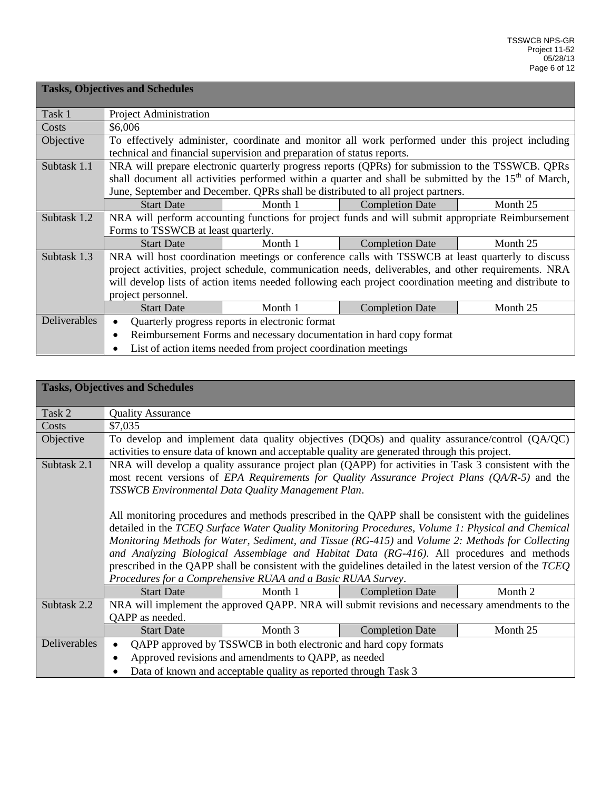|              | <b>Tasks, Objectives and Schedules</b>                                                                  |                                                                        |                                                                                                                   |          |  |  |
|--------------|---------------------------------------------------------------------------------------------------------|------------------------------------------------------------------------|-------------------------------------------------------------------------------------------------------------------|----------|--|--|
| Task 1       | Project Administration                                                                                  |                                                                        |                                                                                                                   |          |  |  |
| Costs        | \$6,006                                                                                                 |                                                                        |                                                                                                                   |          |  |  |
| Objective    |                                                                                                         |                                                                        | To effectively administer, coordinate and monitor all work performed under this project including                 |          |  |  |
|              |                                                                                                         | technical and financial supervision and preparation of status reports. |                                                                                                                   |          |  |  |
| Subtask 1.1  |                                                                                                         |                                                                        | NRA will prepare electronic quarterly progress reports (QPRs) for submission to the TSSWCB. QPRs                  |          |  |  |
|              |                                                                                                         |                                                                        | shall document all activities performed within a quarter and shall be submitted by the 15 <sup>th</sup> of March, |          |  |  |
|              | June, September and December. QPRs shall be distributed to all project partners.                        |                                                                        |                                                                                                                   |          |  |  |
|              | <b>Start Date</b>                                                                                       | Month 1                                                                | <b>Completion Date</b>                                                                                            | Month 25 |  |  |
| Subtask 1.2  |                                                                                                         |                                                                        | NRA will perform accounting functions for project funds and will submit appropriate Reimbursement                 |          |  |  |
|              | Forms to TSSWCB at least quarterly.                                                                     |                                                                        |                                                                                                                   |          |  |  |
|              | <b>Start Date</b>                                                                                       | Month 1                                                                | <b>Completion Date</b>                                                                                            | Month 25 |  |  |
| Subtask 1.3  |                                                                                                         |                                                                        | NRA will host coordination meetings or conference calls with TSSWCB at least quarterly to discuss                 |          |  |  |
|              |                                                                                                         |                                                                        | project activities, project schedule, communication needs, deliverables, and other requirements. NRA              |          |  |  |
|              | will develop lists of action items needed following each project coordination meeting and distribute to |                                                                        |                                                                                                                   |          |  |  |
|              | project personnel.                                                                                      |                                                                        |                                                                                                                   |          |  |  |
|              | <b>Start Date</b>                                                                                       | Month 1                                                                | <b>Completion Date</b>                                                                                            | Month 25 |  |  |
| Deliverables | Quarterly progress reports in electronic format<br>$\bullet$                                            |                                                                        |                                                                                                                   |          |  |  |
|              | $\bullet$                                                                                               |                                                                        | Reimbursement Forms and necessary documentation in hard copy format                                               |          |  |  |
|              |                                                                                                         | List of action items needed from project coordination meetings         |                                                                                                                   |          |  |  |

|              | <b>Tasks, Objectives and Schedules</b>                                                                                                                                                                                                                                                                                                                                                                                                                                                                                                                                                                                                                                                                                                                                                                                                                  |                                                      |                        |          |  |
|--------------|---------------------------------------------------------------------------------------------------------------------------------------------------------------------------------------------------------------------------------------------------------------------------------------------------------------------------------------------------------------------------------------------------------------------------------------------------------------------------------------------------------------------------------------------------------------------------------------------------------------------------------------------------------------------------------------------------------------------------------------------------------------------------------------------------------------------------------------------------------|------------------------------------------------------|------------------------|----------|--|
| Task 2       | <b>Quality Assurance</b>                                                                                                                                                                                                                                                                                                                                                                                                                                                                                                                                                                                                                                                                                                                                                                                                                                |                                                      |                        |          |  |
| Costs        | \$7,035                                                                                                                                                                                                                                                                                                                                                                                                                                                                                                                                                                                                                                                                                                                                                                                                                                                 |                                                      |                        |          |  |
| Objective    | To develop and implement data quality objectives (DQOs) and quality assurance/control (QA/QC)<br>activities to ensure data of known and acceptable quality are generated through this project.                                                                                                                                                                                                                                                                                                                                                                                                                                                                                                                                                                                                                                                          |                                                      |                        |          |  |
| Subtask 2.1  | NRA will develop a quality assurance project plan (QAPP) for activities in Task 3 consistent with the<br>most recent versions of EPA Requirements for Quality Assurance Project Plans (QA/R-5) and the<br>TSSWCB Environmental Data Quality Management Plan.<br>All monitoring procedures and methods prescribed in the QAPP shall be consistent with the guidelines<br>detailed in the TCEQ Surface Water Quality Monitoring Procedures, Volume 1: Physical and Chemical<br>Monitoring Methods for Water, Sediment, and Tissue (RG-415) and Volume 2: Methods for Collecting<br>and Analyzing Biological Assemblage and Habitat Data (RG-416). All procedures and methods<br>prescribed in the QAPP shall be consistent with the guidelines detailed in the latest version of the TCEQ<br>Procedures for a Comprehensive RUAA and a Basic RUAA Survey. |                                                      |                        |          |  |
|              | <b>Start Date</b>                                                                                                                                                                                                                                                                                                                                                                                                                                                                                                                                                                                                                                                                                                                                                                                                                                       | Month 1                                              | <b>Completion Date</b> | Month 2  |  |
| Subtask 2.2  | NRA will implement the approved QAPP. NRA will submit revisions and necessary amendments to the                                                                                                                                                                                                                                                                                                                                                                                                                                                                                                                                                                                                                                                                                                                                                         |                                                      |                        |          |  |
|              | QAPP as needed.                                                                                                                                                                                                                                                                                                                                                                                                                                                                                                                                                                                                                                                                                                                                                                                                                                         |                                                      |                        |          |  |
|              | <b>Start Date</b>                                                                                                                                                                                                                                                                                                                                                                                                                                                                                                                                                                                                                                                                                                                                                                                                                                       | Month 3                                              | <b>Completion Date</b> | Month 25 |  |
| Deliverables | QAPP approved by TSSWCB in both electronic and hard copy formats                                                                                                                                                                                                                                                                                                                                                                                                                                                                                                                                                                                                                                                                                                                                                                                        |                                                      |                        |          |  |
|              | $\bullet$                                                                                                                                                                                                                                                                                                                                                                                                                                                                                                                                                                                                                                                                                                                                                                                                                                               | Approved revisions and amendments to QAPP, as needed |                        |          |  |
|              | Data of known and acceptable quality as reported through Task 3                                                                                                                                                                                                                                                                                                                                                                                                                                                                                                                                                                                                                                                                                                                                                                                         |                                                      |                        |          |  |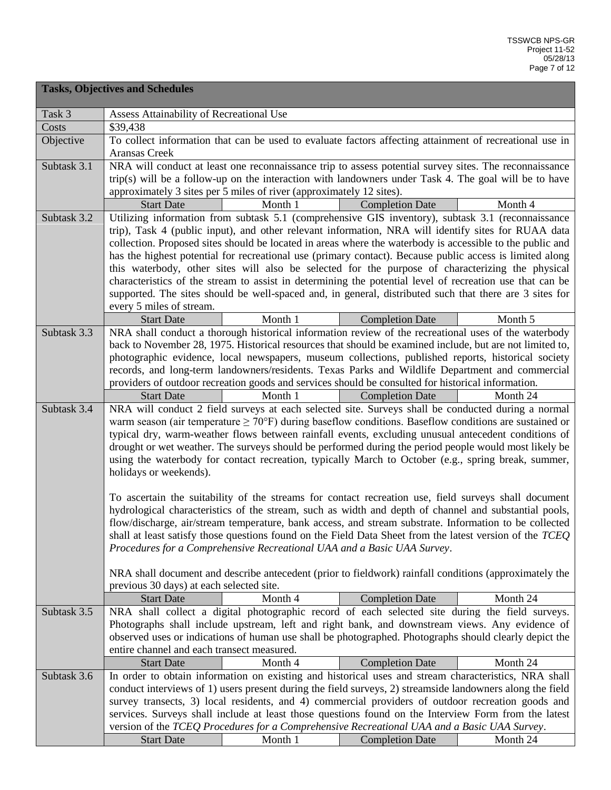|             | <b>Tasks, Objectives and Schedules</b>                                                                                                                                                                                                                                                                                                                                                                                                                                                                                                                                                                                                                                                                                                                       |  |  |  |  |  |
|-------------|--------------------------------------------------------------------------------------------------------------------------------------------------------------------------------------------------------------------------------------------------------------------------------------------------------------------------------------------------------------------------------------------------------------------------------------------------------------------------------------------------------------------------------------------------------------------------------------------------------------------------------------------------------------------------------------------------------------------------------------------------------------|--|--|--|--|--|
| Task 3      | Assess Attainability of Recreational Use                                                                                                                                                                                                                                                                                                                                                                                                                                                                                                                                                                                                                                                                                                                     |  |  |  |  |  |
| Costs       | \$39,438                                                                                                                                                                                                                                                                                                                                                                                                                                                                                                                                                                                                                                                                                                                                                     |  |  |  |  |  |
| Objective   | To collect information that can be used to evaluate factors affecting attainment of recreational use in<br>Aransas Creek                                                                                                                                                                                                                                                                                                                                                                                                                                                                                                                                                                                                                                     |  |  |  |  |  |
| Subtask 3.1 | NRA will conduct at least one reconnaissance trip to assess potential survey sites. The reconnaissance                                                                                                                                                                                                                                                                                                                                                                                                                                                                                                                                                                                                                                                       |  |  |  |  |  |
|             | trip(s) will be a follow-up on the interaction with landowners under Task 4. The goal will be to have                                                                                                                                                                                                                                                                                                                                                                                                                                                                                                                                                                                                                                                        |  |  |  |  |  |
|             | approximately 3 sites per 5 miles of river (approximately 12 sites).                                                                                                                                                                                                                                                                                                                                                                                                                                                                                                                                                                                                                                                                                         |  |  |  |  |  |
|             | Month 1<br><b>Start Date</b><br><b>Completion Date</b><br>Month 4                                                                                                                                                                                                                                                                                                                                                                                                                                                                                                                                                                                                                                                                                            |  |  |  |  |  |
| Subtask 3.2 | Utilizing information from subtask 5.1 (comprehensive GIS inventory), subtask 3.1 (reconnaissance<br>trip), Task 4 (public input), and other relevant information, NRA will identify sites for RUAA data<br>collection. Proposed sites should be located in areas where the waterbody is accessible to the public and<br>has the highest potential for recreational use (primary contact). Because public access is limited along<br>this waterbody, other sites will also be selected for the purpose of characterizing the physical<br>characteristics of the stream to assist in determining the potential level of recreation use that can be<br>supported. The sites should be well-spaced and, in general, distributed such that there are 3 sites for |  |  |  |  |  |
|             | every 5 miles of stream.<br><b>Start Date</b><br>Month 1<br><b>Completion Date</b><br>Month 5                                                                                                                                                                                                                                                                                                                                                                                                                                                                                                                                                                                                                                                                |  |  |  |  |  |
| Subtask 3.3 | NRA shall conduct a thorough historical information review of the recreational uses of the waterbody                                                                                                                                                                                                                                                                                                                                                                                                                                                                                                                                                                                                                                                         |  |  |  |  |  |
|             | back to November 28, 1975. Historical resources that should be examined include, but are not limited to,<br>photographic evidence, local newspapers, museum collections, published reports, historical society<br>records, and long-term landowners/residents. Texas Parks and Wildlife Department and commercial<br>providers of outdoor recreation goods and services should be consulted for historical information.<br>Month 1<br>Month 24<br><b>Start Date</b><br><b>Completion Date</b>                                                                                                                                                                                                                                                                |  |  |  |  |  |
| Subtask 3.4 | NRA will conduct 2 field surveys at each selected site. Surveys shall be conducted during a normal                                                                                                                                                                                                                                                                                                                                                                                                                                                                                                                                                                                                                                                           |  |  |  |  |  |
|             | warm season (air temperature $\geq$ 70°F) during baseflow conditions. Baseflow conditions are sustained or<br>typical dry, warm-weather flows between rainfall events, excluding unusual antecedent conditions of<br>drought or wet weather. The surveys should be performed during the period people would most likely be<br>using the waterbody for contact recreation, typically March to October (e.g., spring break, summer,<br>holidays or weekends).                                                                                                                                                                                                                                                                                                  |  |  |  |  |  |
|             | To ascertain the suitability of the streams for contact recreation use, field surveys shall document                                                                                                                                                                                                                                                                                                                                                                                                                                                                                                                                                                                                                                                         |  |  |  |  |  |
|             | hydrological characteristics of the stream, such as width and depth of channel and substantial pools,                                                                                                                                                                                                                                                                                                                                                                                                                                                                                                                                                                                                                                                        |  |  |  |  |  |
|             | flow/discharge, air/stream temperature, bank access, and stream substrate. Information to be collected                                                                                                                                                                                                                                                                                                                                                                                                                                                                                                                                                                                                                                                       |  |  |  |  |  |
|             | shall at least satisfy those questions found on the Field Data Sheet from the latest version of the TCEQ                                                                                                                                                                                                                                                                                                                                                                                                                                                                                                                                                                                                                                                     |  |  |  |  |  |
|             | Procedures for a Comprehensive Recreational UAA and a Basic UAA Survey.                                                                                                                                                                                                                                                                                                                                                                                                                                                                                                                                                                                                                                                                                      |  |  |  |  |  |
|             |                                                                                                                                                                                                                                                                                                                                                                                                                                                                                                                                                                                                                                                                                                                                                              |  |  |  |  |  |
|             | NRA shall document and describe antecedent (prior to fieldwork) rainfall conditions (approximately the<br>previous 30 days) at each selected site.                                                                                                                                                                                                                                                                                                                                                                                                                                                                                                                                                                                                           |  |  |  |  |  |
|             | <b>Start Date</b><br>Month 4<br><b>Completion Date</b><br>Month 24                                                                                                                                                                                                                                                                                                                                                                                                                                                                                                                                                                                                                                                                                           |  |  |  |  |  |
| Subtask 3.5 | NRA shall collect a digital photographic record of each selected site during the field surveys.                                                                                                                                                                                                                                                                                                                                                                                                                                                                                                                                                                                                                                                              |  |  |  |  |  |
|             | Photographs shall include upstream, left and right bank, and downstream views. Any evidence of                                                                                                                                                                                                                                                                                                                                                                                                                                                                                                                                                                                                                                                               |  |  |  |  |  |
|             | observed uses or indications of human use shall be photographed. Photographs should clearly depict the                                                                                                                                                                                                                                                                                                                                                                                                                                                                                                                                                                                                                                                       |  |  |  |  |  |
|             | entire channel and each transect measured.                                                                                                                                                                                                                                                                                                                                                                                                                                                                                                                                                                                                                                                                                                                   |  |  |  |  |  |
|             | Month 4<br><b>Completion Date</b><br>Month 24<br><b>Start Date</b>                                                                                                                                                                                                                                                                                                                                                                                                                                                                                                                                                                                                                                                                                           |  |  |  |  |  |
| Subtask 3.6 | In order to obtain information on existing and historical uses and stream characteristics, NRA shall                                                                                                                                                                                                                                                                                                                                                                                                                                                                                                                                                                                                                                                         |  |  |  |  |  |
|             | conduct interviews of 1) users present during the field surveys, 2) streamside landowners along the field                                                                                                                                                                                                                                                                                                                                                                                                                                                                                                                                                                                                                                                    |  |  |  |  |  |
|             | survey transects, 3) local residents, and 4) commercial providers of outdoor recreation goods and                                                                                                                                                                                                                                                                                                                                                                                                                                                                                                                                                                                                                                                            |  |  |  |  |  |
|             | services. Surveys shall include at least those questions found on the Interview Form from the latest<br>version of the TCEQ Procedures for a Comprehensive Recreational UAA and a Basic UAA Survey.                                                                                                                                                                                                                                                                                                                                                                                                                                                                                                                                                          |  |  |  |  |  |
|             | <b>Start Date</b><br>Month 1<br><b>Completion Date</b><br>Month 24                                                                                                                                                                                                                                                                                                                                                                                                                                                                                                                                                                                                                                                                                           |  |  |  |  |  |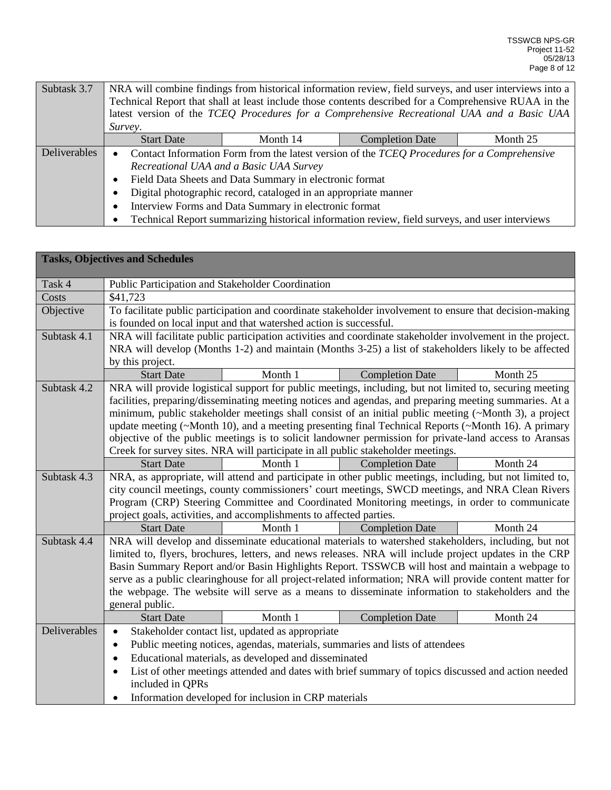| Subtask 3.7         | NRA will combine findings from historical information review, field surveys, and user interviews into a |  |                                                                                                |  |  |  |
|---------------------|---------------------------------------------------------------------------------------------------------|--|------------------------------------------------------------------------------------------------|--|--|--|
|                     | Technical Report that shall at least include those contents described for a Comprehensive RUAA in the   |  |                                                                                                |  |  |  |
|                     |                                                                                                         |  | latest version of the TCEQ Procedures for a Comprehensive Recreational UAA and a Basic UAA     |  |  |  |
|                     | Survey.                                                                                                 |  |                                                                                                |  |  |  |
|                     | Month 14<br>Month 25<br><b>Completion Date</b><br><b>Start Date</b>                                     |  |                                                                                                |  |  |  |
| <b>Deliverables</b> | Contact Information Form from the latest version of the TCEQ Procedures for a Comprehensive             |  |                                                                                                |  |  |  |
|                     | Recreational UAA and a Basic UAA Survey                                                                 |  |                                                                                                |  |  |  |
|                     | Field Data Sheets and Data Summary in electronic format                                                 |  |                                                                                                |  |  |  |
|                     | Digital photographic record, cataloged in an appropriate manner                                         |  |                                                                                                |  |  |  |
|                     | Interview Forms and Data Summary in electronic format<br>$\bullet$                                      |  |                                                                                                |  |  |  |
|                     |                                                                                                         |  | Technical Report summarizing historical information review, field surveys, and user interviews |  |  |  |

|              | <b>Tasks, Objectives and Schedules</b>                                                                                                                               |                                                                    |                                                                                                                                     |          |  |
|--------------|----------------------------------------------------------------------------------------------------------------------------------------------------------------------|--------------------------------------------------------------------|-------------------------------------------------------------------------------------------------------------------------------------|----------|--|
| Task 4       | Public Participation and Stakeholder Coordination                                                                                                                    |                                                                    |                                                                                                                                     |          |  |
| Costs        | \$41,723                                                                                                                                                             |                                                                    |                                                                                                                                     |          |  |
| Objective    |                                                                                                                                                                      |                                                                    | To facilitate public participation and coordinate stakeholder involvement to ensure that decision-making                            |          |  |
|              |                                                                                                                                                                      | is founded on local input and that watershed action is successful. |                                                                                                                                     |          |  |
| Subtask 4.1  |                                                                                                                                                                      |                                                                    | NRA will facilitate public participation activities and coordinate stakeholder involvement in the project.                          |          |  |
|              |                                                                                                                                                                      |                                                                    | NRA will develop (Months 1-2) and maintain (Months 3-25) a list of stakeholders likely to be affected                               |          |  |
|              | by this project.                                                                                                                                                     |                                                                    |                                                                                                                                     |          |  |
|              | <b>Start Date</b>                                                                                                                                                    | Month 1                                                            | <b>Completion Date</b>                                                                                                              | Month 25 |  |
| Subtask 4.2  |                                                                                                                                                                      |                                                                    | NRA will provide logistical support for public meetings, including, but not limited to, securing meeting                            |          |  |
|              |                                                                                                                                                                      |                                                                    | facilities, preparing/disseminating meeting notices and agendas, and preparing meeting summaries. At a                              |          |  |
|              |                                                                                                                                                                      |                                                                    | minimum, public stakeholder meetings shall consist of an initial public meeting (~Month 3), a project                               |          |  |
|              |                                                                                                                                                                      |                                                                    | update meeting (~Month 10), and a meeting presenting final Technical Reports (~Month 16). A primary                                 |          |  |
|              |                                                                                                                                                                      |                                                                    | objective of the public meetings is to solicit landowner permission for private-land access to Aransas                              |          |  |
|              |                                                                                                                                                                      |                                                                    | Creek for survey sites. NRA will participate in all public stakeholder meetings.                                                    |          |  |
| Subtask 4.3  | <b>Start Date</b>                                                                                                                                                    | Month 1                                                            | <b>Completion Date</b><br>NRA, as appropriate, will attend and participate in other public meetings, including, but not limited to, | Month 24 |  |
|              |                                                                                                                                                                      |                                                                    | city council meetings, county commissioners' court meetings, SWCD meetings, and NRA Clean Rivers                                    |          |  |
|              |                                                                                                                                                                      |                                                                    |                                                                                                                                     |          |  |
|              | Program (CRP) Steering Committee and Coordinated Monitoring meetings, in order to communicate<br>project goals, activities, and accomplishments to affected parties. |                                                                    |                                                                                                                                     |          |  |
|              | Month 24<br><b>Completion Date</b><br><b>Start Date</b><br>Month 1                                                                                                   |                                                                    |                                                                                                                                     |          |  |
| Subtask 4.4  |                                                                                                                                                                      |                                                                    | NRA will develop and disseminate educational materials to watershed stakeholders, including, but not                                |          |  |
|              |                                                                                                                                                                      |                                                                    | limited to, flyers, brochures, letters, and news releases. NRA will include project updates in the CRP                              |          |  |
|              |                                                                                                                                                                      |                                                                    | Basin Summary Report and/or Basin Highlights Report. TSSWCB will host and maintain a webpage to                                     |          |  |
|              |                                                                                                                                                                      |                                                                    | serve as a public clearinghouse for all project-related information; NRA will provide content matter for                            |          |  |
|              |                                                                                                                                                                      |                                                                    | the webpage. The website will serve as a means to disseminate information to stakeholders and the                                   |          |  |
|              | general public.                                                                                                                                                      |                                                                    |                                                                                                                                     |          |  |
|              | <b>Start Date</b>                                                                                                                                                    | Month 1                                                            | <b>Completion Date</b>                                                                                                              | Month 24 |  |
| Deliverables | $\bullet$                                                                                                                                                            | Stakeholder contact list, updated as appropriate                   |                                                                                                                                     |          |  |
|              | Public meeting notices, agendas, materials, summaries and lists of attendees<br>$\bullet$                                                                            |                                                                    |                                                                                                                                     |          |  |
|              | $\bullet$                                                                                                                                                            | Educational materials, as developed and disseminated               |                                                                                                                                     |          |  |
|              | $\bullet$                                                                                                                                                            |                                                                    | List of other meetings attended and dates with brief summary of topics discussed and action needed                                  |          |  |
|              | included in QPRs                                                                                                                                                     |                                                                    |                                                                                                                                     |          |  |
|              | $\bullet$                                                                                                                                                            | Information developed for inclusion in CRP materials               |                                                                                                                                     |          |  |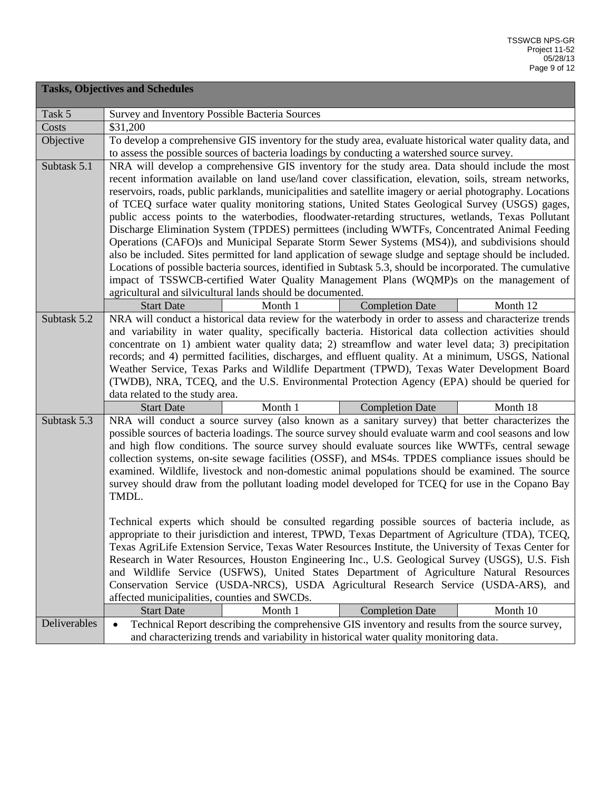|              | <b>Tasks, Objectives and Schedules</b>                                                                                                                                                                    |                                                            |                                                                                                                                                                                                             |          |
|--------------|-----------------------------------------------------------------------------------------------------------------------------------------------------------------------------------------------------------|------------------------------------------------------------|-------------------------------------------------------------------------------------------------------------------------------------------------------------------------------------------------------------|----------|
| Task 5       | Survey and Inventory Possible Bacteria Sources                                                                                                                                                            |                                                            |                                                                                                                                                                                                             |          |
| Costs        | \$31,200                                                                                                                                                                                                  |                                                            |                                                                                                                                                                                                             |          |
| Objective    |                                                                                                                                                                                                           |                                                            | To develop a comprehensive GIS inventory for the study area, evaluate historical water quality data, and                                                                                                    |          |
| Subtask 5.1  |                                                                                                                                                                                                           |                                                            | to assess the possible sources of bacteria loadings by conducting a watershed source survey.                                                                                                                |          |
|              | NRA will develop a comprehensive GIS inventory for the study area. Data should include the most<br>recent information available on land use/land cover classification, elevation, soils, stream networks, |                                                            |                                                                                                                                                                                                             |          |
|              | reservoirs, roads, public parklands, municipalities and satellite imagery or aerial photography. Locations                                                                                                |                                                            |                                                                                                                                                                                                             |          |
|              |                                                                                                                                                                                                           |                                                            | of TCEQ surface water quality monitoring stations, United States Geological Survey (USGS) gages,                                                                                                            |          |
|              |                                                                                                                                                                                                           |                                                            | public access points to the waterbodies, floodwater-retarding structures, wetlands, Texas Pollutant                                                                                                         |          |
|              |                                                                                                                                                                                                           |                                                            | Discharge Elimination System (TPDES) permittees (including WWTFs, Concentrated Animal Feeding                                                                                                               |          |
|              |                                                                                                                                                                                                           |                                                            | Operations (CAFO)s and Municipal Separate Storm Sewer Systems (MS4)), and subdivisions should                                                                                                               |          |
|              |                                                                                                                                                                                                           |                                                            | also be included. Sites permitted for land application of sewage sludge and septage should be included.                                                                                                     |          |
|              |                                                                                                                                                                                                           |                                                            | Locations of possible bacteria sources, identified in Subtask 5.3, should be incorporated. The cumulative                                                                                                   |          |
|              |                                                                                                                                                                                                           |                                                            | impact of TSSWCB-certified Water Quality Management Plans (WQMP)s on the management of                                                                                                                      |          |
|              |                                                                                                                                                                                                           | agricultural and silvicultural lands should be documented. |                                                                                                                                                                                                             |          |
|              | <b>Start Date</b>                                                                                                                                                                                         | Month 1                                                    | <b>Completion Date</b>                                                                                                                                                                                      | Month 12 |
| Subtask 5.2  |                                                                                                                                                                                                           |                                                            | NRA will conduct a historical data review for the waterbody in order to assess and characterize trends                                                                                                      |          |
|              |                                                                                                                                                                                                           |                                                            | and variability in water quality, specifically bacteria. Historical data collection activities should<br>concentrate on 1) ambient water quality data; 2) streamflow and water level data; 3) precipitation |          |
|              |                                                                                                                                                                                                           |                                                            | records; and 4) permitted facilities, discharges, and effluent quality. At a minimum, USGS, National                                                                                                        |          |
|              |                                                                                                                                                                                                           |                                                            | Weather Service, Texas Parks and Wildlife Department (TPWD), Texas Water Development Board                                                                                                                  |          |
|              |                                                                                                                                                                                                           |                                                            |                                                                                                                                                                                                             |          |
|              | (TWDB), NRA, TCEQ, and the U.S. Environmental Protection Agency (EPA) should be queried for<br>data related to the study area.                                                                            |                                                            |                                                                                                                                                                                                             |          |
|              | <b>Start Date</b>                                                                                                                                                                                         | Month 1                                                    | <b>Completion Date</b>                                                                                                                                                                                      | Month 18 |
| Subtask 5.3  |                                                                                                                                                                                                           |                                                            | NRA will conduct a source survey (also known as a sanitary survey) that better characterizes the                                                                                                            |          |
|              |                                                                                                                                                                                                           |                                                            | possible sources of bacteria loadings. The source survey should evaluate warm and cool seasons and low                                                                                                      |          |
|              |                                                                                                                                                                                                           |                                                            | and high flow conditions. The source survey should evaluate sources like WWTFs, central sewage                                                                                                              |          |
|              |                                                                                                                                                                                                           |                                                            | collection systems, on-site sewage facilities (OSSF), and MS4s. TPDES compliance issues should be                                                                                                           |          |
|              |                                                                                                                                                                                                           |                                                            | examined. Wildlife, livestock and non-domestic animal populations should be examined. The source                                                                                                            |          |
|              | TMDL.                                                                                                                                                                                                     |                                                            | survey should draw from the pollutant loading model developed for TCEQ for use in the Copano Bay                                                                                                            |          |
|              |                                                                                                                                                                                                           |                                                            |                                                                                                                                                                                                             |          |
|              |                                                                                                                                                                                                           |                                                            | Technical experts which should be consulted regarding possible sources of bacteria include, as                                                                                                              |          |
|              |                                                                                                                                                                                                           |                                                            | appropriate to their jurisdiction and interest, TPWD, Texas Department of Agriculture (TDA), TCEQ,                                                                                                          |          |
|              |                                                                                                                                                                                                           |                                                            | Texas AgriLife Extension Service, Texas Water Resources Institute, the University of Texas Center for                                                                                                       |          |
|              |                                                                                                                                                                                                           |                                                            | Research in Water Resources, Houston Engineering Inc., U.S. Geological Survey (USGS), U.S. Fish                                                                                                             |          |
|              |                                                                                                                                                                                                           |                                                            | and Wildlife Service (USFWS), United States Department of Agriculture Natural Resources                                                                                                                     |          |
|              |                                                                                                                                                                                                           |                                                            | Conservation Service (USDA-NRCS), USDA Agricultural Research Service (USDA-ARS), and                                                                                                                        |          |
|              | affected municipalities, counties and SWCDs.                                                                                                                                                              |                                                            |                                                                                                                                                                                                             |          |
|              | <b>Start Date</b>                                                                                                                                                                                         | Month 1                                                    | <b>Completion Date</b>                                                                                                                                                                                      | Month 10 |
| Deliverables | $\bullet$                                                                                                                                                                                                 |                                                            | Technical Report describing the comprehensive GIS inventory and results from the source survey,                                                                                                             |          |
|              | and characterizing trends and variability in historical water quality monitoring data.                                                                                                                    |                                                            |                                                                                                                                                                                                             |          |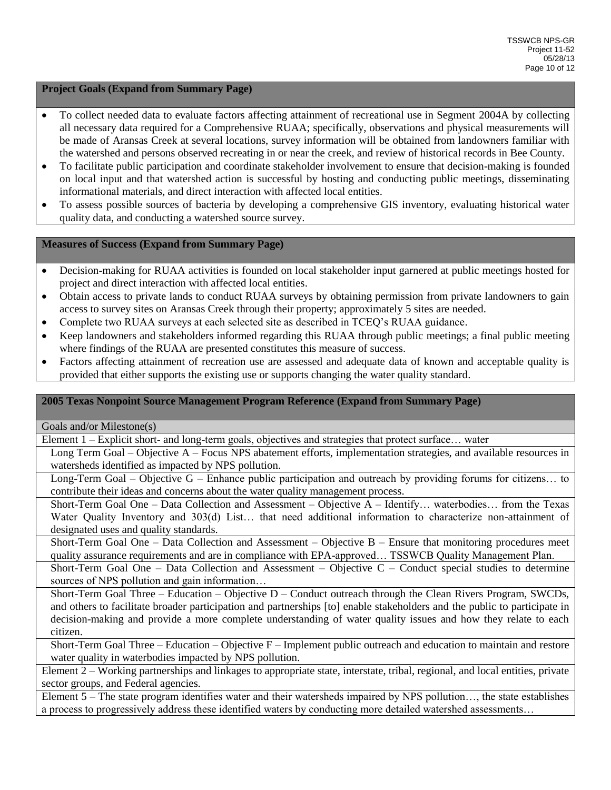## **Project Goals (Expand from Summary Page)**

- To collect needed data to evaluate factors affecting attainment of recreational use in Segment 2004A by collecting all necessary data required for a Comprehensive RUAA; specifically, observations and physical measurements will be made of Aransas Creek at several locations, survey information will be obtained from landowners familiar with the watershed and persons observed recreating in or near the creek, and review of historical records in Bee County.
- To facilitate public participation and coordinate stakeholder involvement to ensure that decision-making is founded on local input and that watershed action is successful by hosting and conducting public meetings, disseminating informational materials, and direct interaction with affected local entities.
- To assess possible sources of bacteria by developing a comprehensive GIS inventory, evaluating historical water quality data, and conducting a watershed source survey.

### **Measures of Success (Expand from Summary Page)**

- Decision-making for RUAA activities is founded on local stakeholder input garnered at public meetings hosted for project and direct interaction with affected local entities.
- Obtain access to private lands to conduct RUAA surveys by obtaining permission from private landowners to gain access to survey sites on Aransas Creek through their property; approximately 5 sites are needed.
- Complete two RUAA surveys at each selected site as described in TCEQ's RUAA guidance.
- Keep landowners and stakeholders informed regarding this RUAA through public meetings; a final public meeting where findings of the RUAA are presented constitutes this measure of success.
- Factors affecting attainment of recreation use are assessed and adequate data of known and acceptable quality is provided that either supports the existing use or supports changing the water quality standard.

## **2005 Texas Nonpoint Source Management Program Reference (Expand from Summary Page)**

Goals and/or Milestone(s)

Element 1 – Explicit short- and long-term goals, objectives and strategies that protect surface… water

Long Term Goal – Objective A – Focus NPS abatement efforts, implementation strategies, and available resources in watersheds identified as impacted by NPS pollution.

Long-Term Goal – Objective G – Enhance public participation and outreach by providing forums for citizens… to contribute their ideas and concerns about the water quality management process.

Short-Term Goal One – Data Collection and Assessment – Objective A – Identify… waterbodies… from the Texas Water Quality Inventory and 303(d) List... that need additional information to characterize non-attainment of designated uses and quality standards.

Short-Term Goal One – Data Collection and Assessment – Objective B – Ensure that monitoring procedures meet quality assurance requirements and are in compliance with EPA-approved… TSSWCB Quality Management Plan.

Short-Term Goal One – Data Collection and Assessment – Objective C – Conduct special studies to determine sources of NPS pollution and gain information...

Short-Term Goal Three – Education – Objective D – Conduct outreach through the Clean Rivers Program, SWCDs, and others to facilitate broader participation and partnerships [to] enable stakeholders and the public to participate in decision-making and provide a more complete understanding of water quality issues and how they relate to each citizen.

Short-Term Goal Three – Education – Objective  $F$  – Implement public outreach and education to maintain and restore water quality in waterbodies impacted by NPS pollution.

Element 2 – Working partnerships and linkages to appropriate state, interstate, tribal, regional, and local entities, private sector groups, and Federal agencies.

Element 5 – The state program identifies water and their watersheds impaired by NPS pollution…, the state establishes a process to progressively address these identified waters by conducting more detailed watershed assessments…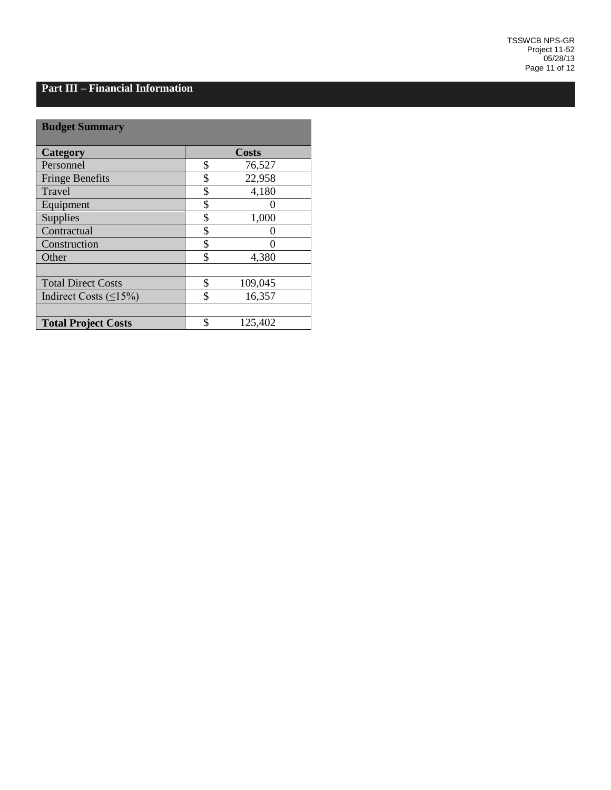#### **Part III – Financial Information**

| <b>Budget Summary</b>        |               |  |
|------------------------------|---------------|--|
| <b>Category</b>              | <b>Costs</b>  |  |
| Personnel                    | \$<br>76,527  |  |
| <b>Fringe Benefits</b>       | \$<br>22,958  |  |
| Travel                       | \$<br>4,180   |  |
| Equipment                    | \$            |  |
| Supplies                     | \$<br>1,000   |  |
| Contractual                  | \$            |  |
| Construction                 | \$            |  |
| Other                        | \$<br>4,380   |  |
|                              |               |  |
| <b>Total Direct Costs</b>    | \$<br>109,045 |  |
| Indirect Costs $(\leq 15\%)$ | \$<br>16,357  |  |
|                              |               |  |
| <b>Total Project Costs</b>   | \$<br>125,402 |  |